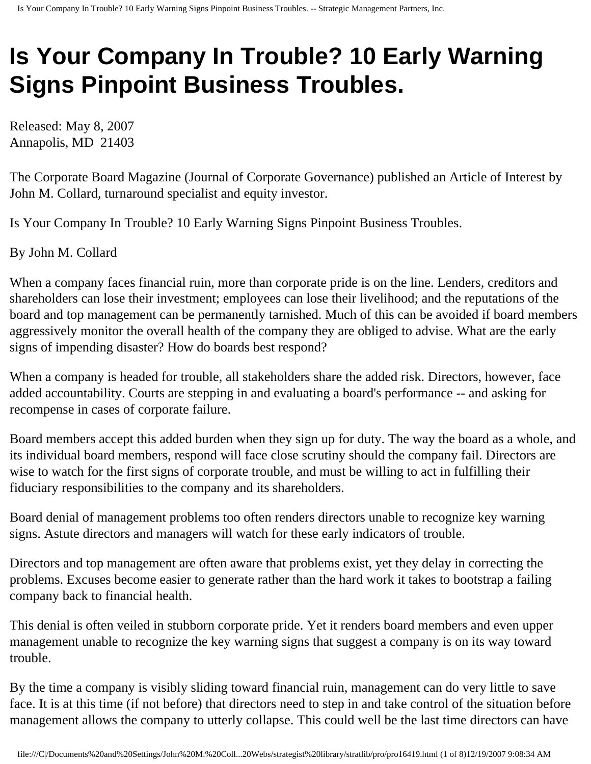## **Is Your Company In Trouble? 10 Early Warning Signs Pinpoint Business Troubles.**

Released: May 8, 2007 Annapolis, MD 21403

The Corporate Board Magazine (Journal of Corporate Governance) published an Article of Interest by John M. Collard, turnaround specialist and equity investor.

Is Your Company In Trouble? 10 Early Warning Signs Pinpoint Business Troubles.

By John M. Collard

When a company faces financial ruin, more than corporate pride is on the line. Lenders, creditors and shareholders can lose their investment; employees can lose their livelihood; and the reputations of the board and top management can be permanently tarnished. Much of this can be avoided if board members aggressively monitor the overall health of the company they are obliged to advise. What are the early signs of impending disaster? How do boards best respond?

When a company is headed for trouble, all stakeholders share the added risk. Directors, however, face added accountability. Courts are stepping in and evaluating a board's performance -- and asking for recompense in cases of corporate failure.

Board members accept this added burden when they sign up for duty. The way the board as a whole, and its individual board members, respond will face close scrutiny should the company fail. Directors are wise to watch for the first signs of corporate trouble, and must be willing to act in fulfilling their fiduciary responsibilities to the company and its shareholders.

Board denial of management problems too often renders directors unable to recognize key warning signs. Astute directors and managers will watch for these early indicators of trouble.

Directors and top management are often aware that problems exist, yet they delay in correcting the problems. Excuses become easier to generate rather than the hard work it takes to bootstrap a failing company back to financial health.

This denial is often veiled in stubborn corporate pride. Yet it renders board members and even upper management unable to recognize the key warning signs that suggest a company is on its way toward trouble.

By the time a company is visibly sliding toward financial ruin, management can do very little to save face. It is at this time (if not before) that directors need to step in and take control of the situation before management allows the company to utterly collapse. This could well be the last time directors can have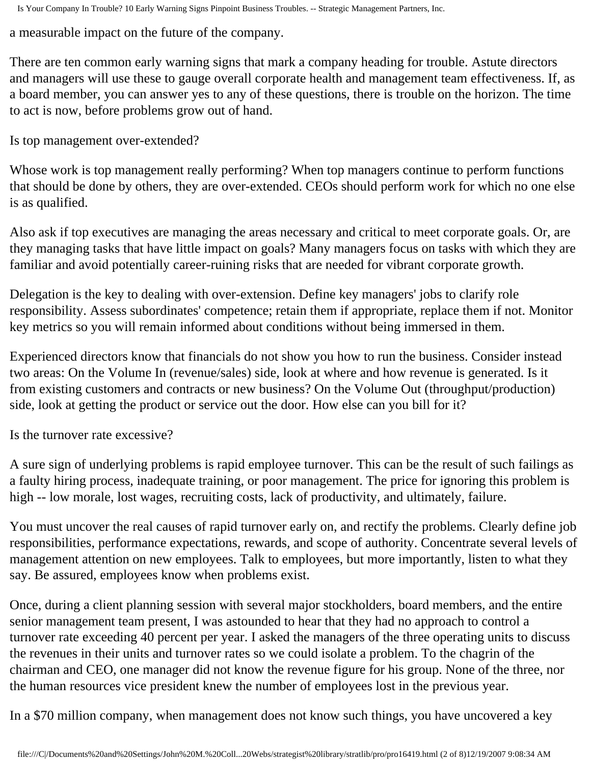a measurable impact on the future of the company.

There are ten common early warning signs that mark a company heading for trouble. Astute directors and managers will use these to gauge overall corporate health and management team effectiveness. If, as a board member, you can answer yes to any of these questions, there is trouble on the horizon. The time to act is now, before problems grow out of hand.

Is top management over-extended?

Whose work is top management really performing? When top managers continue to perform functions that should be done by others, they are over-extended. CEOs should perform work for which no one else is as qualified.

Also ask if top executives are managing the areas necessary and critical to meet corporate goals. Or, are they managing tasks that have little impact on goals? Many managers focus on tasks with which they are familiar and avoid potentially career-ruining risks that are needed for vibrant corporate growth.

Delegation is the key to dealing with over-extension. Define key managers' jobs to clarify role responsibility. Assess subordinates' competence; retain them if appropriate, replace them if not. Monitor key metrics so you will remain informed about conditions without being immersed in them.

Experienced directors know that financials do not show you how to run the business. Consider instead two areas: On the Volume In (revenue/sales) side, look at where and how revenue is generated. Is it from existing customers and contracts or new business? On the Volume Out (throughput/production) side, look at getting the product or service out the door. How else can you bill for it?

Is the turnover rate excessive?

A sure sign of underlying problems is rapid employee turnover. This can be the result of such failings as a faulty hiring process, inadequate training, or poor management. The price for ignoring this problem is high -- low morale, lost wages, recruiting costs, lack of productivity, and ultimately, failure.

You must uncover the real causes of rapid turnover early on, and rectify the problems. Clearly define job responsibilities, performance expectations, rewards, and scope of authority. Concentrate several levels of management attention on new employees. Talk to employees, but more importantly, listen to what they say. Be assured, employees know when problems exist.

Once, during a client planning session with several major stockholders, board members, and the entire senior management team present, I was astounded to hear that they had no approach to control a turnover rate exceeding 40 percent per year. I asked the managers of the three operating units to discuss the revenues in their units and turnover rates so we could isolate a problem. To the chagrin of the chairman and CEO, one manager did not know the revenue figure for his group. None of the three, nor the human resources vice president knew the number of employees lost in the previous year.

In a \$70 million company, when management does not know such things, you have uncovered a key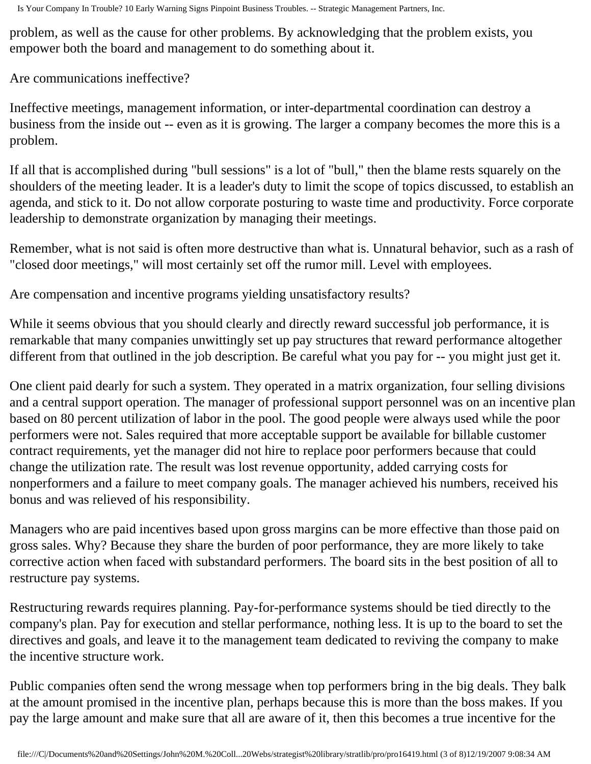problem, as well as the cause for other problems. By acknowledging that the problem exists, you empower both the board and management to do something about it.

Are communications ineffective?

Ineffective meetings, management information, or inter-departmental coordination can destroy a business from the inside out -- even as it is growing. The larger a company becomes the more this is a problem.

If all that is accomplished during "bull sessions" is a lot of "bull," then the blame rests squarely on the shoulders of the meeting leader. It is a leader's duty to limit the scope of topics discussed, to establish an agenda, and stick to it. Do not allow corporate posturing to waste time and productivity. Force corporate leadership to demonstrate organization by managing their meetings.

Remember, what is not said is often more destructive than what is. Unnatural behavior, such as a rash of "closed door meetings," will most certainly set off the rumor mill. Level with employees.

Are compensation and incentive programs yielding unsatisfactory results?

While it seems obvious that you should clearly and directly reward successful job performance, it is remarkable that many companies unwittingly set up pay structures that reward performance altogether different from that outlined in the job description. Be careful what you pay for -- you might just get it.

One client paid dearly for such a system. They operated in a matrix organization, four selling divisions and a central support operation. The manager of professional support personnel was on an incentive plan based on 80 percent utilization of labor in the pool. The good people were always used while the poor performers were not. Sales required that more acceptable support be available for billable customer contract requirements, yet the manager did not hire to replace poor performers because that could change the utilization rate. The result was lost revenue opportunity, added carrying costs for nonperformers and a failure to meet company goals. The manager achieved his numbers, received his bonus and was relieved of his responsibility.

Managers who are paid incentives based upon gross margins can be more effective than those paid on gross sales. Why? Because they share the burden of poor performance, they are more likely to take corrective action when faced with substandard performers. The board sits in the best position of all to restructure pay systems.

Restructuring rewards requires planning. Pay-for-performance systems should be tied directly to the company's plan. Pay for execution and stellar performance, nothing less. It is up to the board to set the directives and goals, and leave it to the management team dedicated to reviving the company to make the incentive structure work.

Public companies often send the wrong message when top performers bring in the big deals. They balk at the amount promised in the incentive plan, perhaps because this is more than the boss makes. If you pay the large amount and make sure that all are aware of it, then this becomes a true incentive for the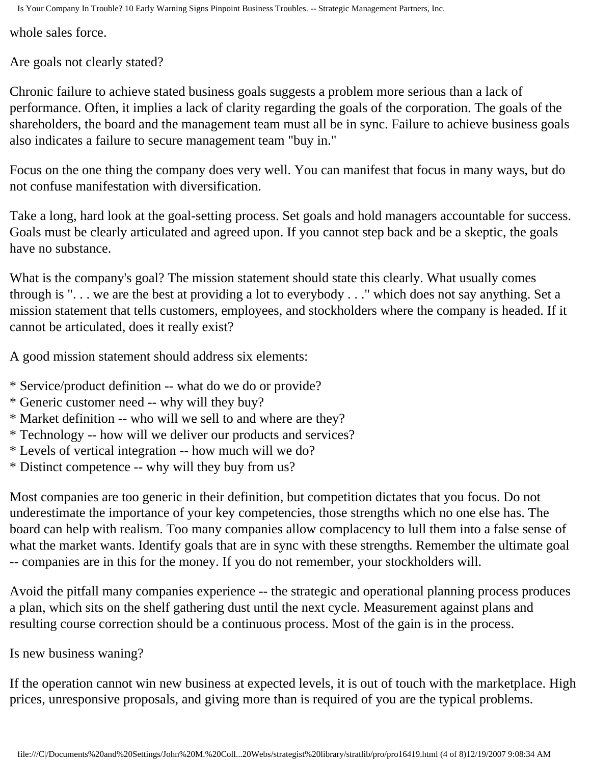whole sales force.

Are goals not clearly stated?

Chronic failure to achieve stated business goals suggests a problem more serious than a lack of performance. Often, it implies a lack of clarity regarding the goals of the corporation. The goals of the shareholders, the board and the management team must all be in sync. Failure to achieve business goals also indicates a failure to secure management team "buy in."

Focus on the one thing the company does very well. You can manifest that focus in many ways, but do not confuse manifestation with diversification.

Take a long, hard look at the goal-setting process. Set goals and hold managers accountable for success. Goals must be clearly articulated and agreed upon. If you cannot step back and be a skeptic, the goals have no substance.

What is the company's goal? The mission statement should state this clearly. What usually comes through is ". . . we are the best at providing a lot to everybody . . ." which does not say anything. Set a mission statement that tells customers, employees, and stockholders where the company is headed. If it cannot be articulated, does it really exist?

A good mission statement should address six elements:

- \* Service/product definition -- what do we do or provide?
- \* Generic customer need -- why will they buy?
- \* Market definition -- who will we sell to and where are they?
- \* Technology -- how will we deliver our products and services?
- \* Levels of vertical integration -- how much will we do?
- \* Distinct competence -- why will they buy from us?

Most companies are too generic in their definition, but competition dictates that you focus. Do not underestimate the importance of your key competencies, those strengths which no one else has. The board can help with realism. Too many companies allow complacency to lull them into a false sense of what the market wants. Identify goals that are in sync with these strengths. Remember the ultimate goal -- companies are in this for the money. If you do not remember, your stockholders will.

Avoid the pitfall many companies experience -- the strategic and operational planning process produces a plan, which sits on the shelf gathering dust until the next cycle. Measurement against plans and resulting course correction should be a continuous process. Most of the gain is in the process.

Is new business waning?

If the operation cannot win new business at expected levels, it is out of touch with the marketplace. High prices, unresponsive proposals, and giving more than is required of you are the typical problems.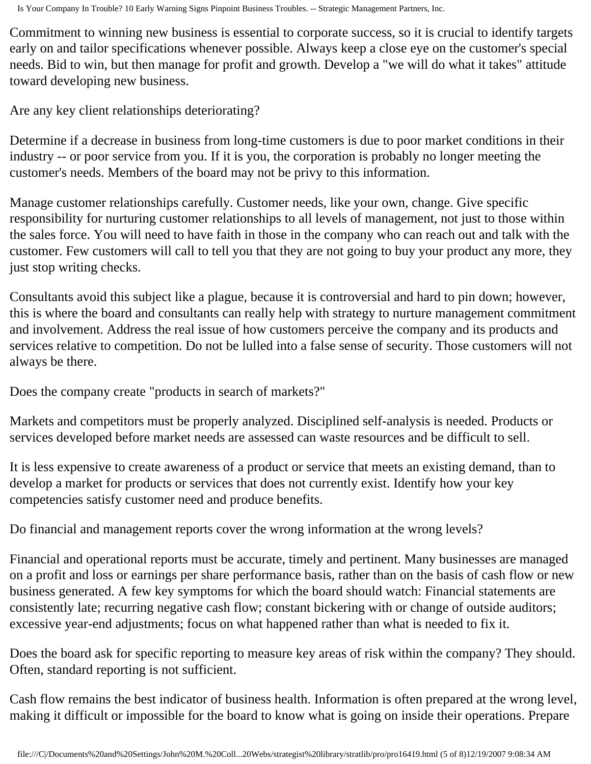Commitment to winning new business is essential to corporate success, so it is crucial to identify targets early on and tailor specifications whenever possible. Always keep a close eye on the customer's special needs. Bid to win, but then manage for profit and growth. Develop a "we will do what it takes" attitude toward developing new business.

Are any key client relationships deteriorating?

Determine if a decrease in business from long-time customers is due to poor market conditions in their industry -- or poor service from you. If it is you, the corporation is probably no longer meeting the customer's needs. Members of the board may not be privy to this information.

Manage customer relationships carefully. Customer needs, like your own, change. Give specific responsibility for nurturing customer relationships to all levels of management, not just to those within the sales force. You will need to have faith in those in the company who can reach out and talk with the customer. Few customers will call to tell you that they are not going to buy your product any more, they just stop writing checks.

Consultants avoid this subject like a plague, because it is controversial and hard to pin down; however, this is where the board and consultants can really help with strategy to nurture management commitment and involvement. Address the real issue of how customers perceive the company and its products and services relative to competition. Do not be lulled into a false sense of security. Those customers will not always be there.

Does the company create "products in search of markets?"

Markets and competitors must be properly analyzed. Disciplined self-analysis is needed. Products or services developed before market needs are assessed can waste resources and be difficult to sell.

It is less expensive to create awareness of a product or service that meets an existing demand, than to develop a market for products or services that does not currently exist. Identify how your key competencies satisfy customer need and produce benefits.

Do financial and management reports cover the wrong information at the wrong levels?

Financial and operational reports must be accurate, timely and pertinent. Many businesses are managed on a profit and loss or earnings per share performance basis, rather than on the basis of cash flow or new business generated. A few key symptoms for which the board should watch: Financial statements are consistently late; recurring negative cash flow; constant bickering with or change of outside auditors; excessive year-end adjustments; focus on what happened rather than what is needed to fix it.

Does the board ask for specific reporting to measure key areas of risk within the company? They should. Often, standard reporting is not sufficient.

Cash flow remains the best indicator of business health. Information is often prepared at the wrong level, making it difficult or impossible for the board to know what is going on inside their operations. Prepare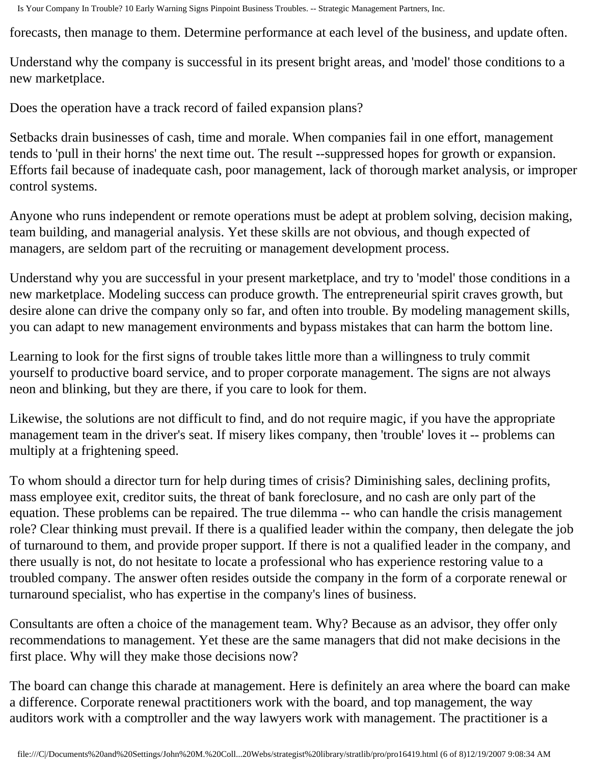forecasts, then manage to them. Determine performance at each level of the business, and update often.

Understand why the company is successful in its present bright areas, and 'model' those conditions to a new marketplace.

Does the operation have a track record of failed expansion plans?

Setbacks drain businesses of cash, time and morale. When companies fail in one effort, management tends to 'pull in their horns' the next time out. The result --suppressed hopes for growth or expansion. Efforts fail because of inadequate cash, poor management, lack of thorough market analysis, or improper control systems.

Anyone who runs independent or remote operations must be adept at problem solving, decision making, team building, and managerial analysis. Yet these skills are not obvious, and though expected of managers, are seldom part of the recruiting or management development process.

Understand why you are successful in your present marketplace, and try to 'model' those conditions in a new marketplace. Modeling success can produce growth. The entrepreneurial spirit craves growth, but desire alone can drive the company only so far, and often into trouble. By modeling management skills, you can adapt to new management environments and bypass mistakes that can harm the bottom line.

Learning to look for the first signs of trouble takes little more than a willingness to truly commit yourself to productive board service, and to proper corporate management. The signs are not always neon and blinking, but they are there, if you care to look for them.

Likewise, the solutions are not difficult to find, and do not require magic, if you have the appropriate management team in the driver's seat. If misery likes company, then 'trouble' loves it -- problems can multiply at a frightening speed.

To whom should a director turn for help during times of crisis? Diminishing sales, declining profits, mass employee exit, creditor suits, the threat of bank foreclosure, and no cash are only part of the equation. These problems can be repaired. The true dilemma -- who can handle the crisis management role? Clear thinking must prevail. If there is a qualified leader within the company, then delegate the job of turnaround to them, and provide proper support. If there is not a qualified leader in the company, and there usually is not, do not hesitate to locate a professional who has experience restoring value to a troubled company. The answer often resides outside the company in the form of a corporate renewal or turnaround specialist, who has expertise in the company's lines of business.

Consultants are often a choice of the management team. Why? Because as an advisor, they offer only recommendations to management. Yet these are the same managers that did not make decisions in the first place. Why will they make those decisions now?

The board can change this charade at management. Here is definitely an area where the board can make a difference. Corporate renewal practitioners work with the board, and top management, the way auditors work with a comptroller and the way lawyers work with management. The practitioner is a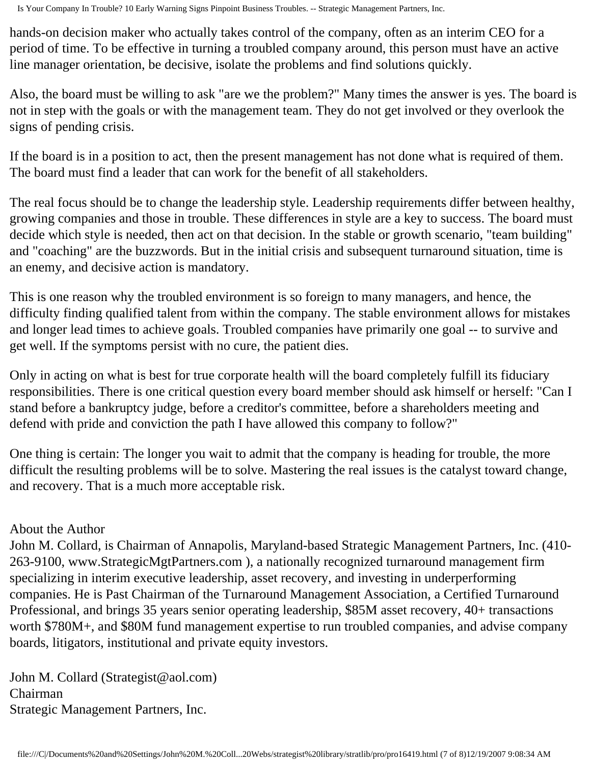hands-on decision maker who actually takes control of the company, often as an interim CEO for a period of time. To be effective in turning a troubled company around, this person must have an active line manager orientation, be decisive, isolate the problems and find solutions quickly.

Also, the board must be willing to ask "are we the problem?" Many times the answer is yes. The board is not in step with the goals or with the management team. They do not get involved or they overlook the signs of pending crisis.

If the board is in a position to act, then the present management has not done what is required of them. The board must find a leader that can work for the benefit of all stakeholders.

The real focus should be to change the leadership style. Leadership requirements differ between healthy, growing companies and those in trouble. These differences in style are a key to success. The board must decide which style is needed, then act on that decision. In the stable or growth scenario, "team building" and "coaching" are the buzzwords. But in the initial crisis and subsequent turnaround situation, time is an enemy, and decisive action is mandatory.

This is one reason why the troubled environment is so foreign to many managers, and hence, the difficulty finding qualified talent from within the company. The stable environment allows for mistakes and longer lead times to achieve goals. Troubled companies have primarily one goal -- to survive and get well. If the symptoms persist with no cure, the patient dies.

Only in acting on what is best for true corporate health will the board completely fulfill its fiduciary responsibilities. There is one critical question every board member should ask himself or herself: "Can I stand before a bankruptcy judge, before a creditor's committee, before a shareholders meeting and defend with pride and conviction the path I have allowed this company to follow?"

One thing is certain: The longer you wait to admit that the company is heading for trouble, the more difficult the resulting problems will be to solve. Mastering the real issues is the catalyst toward change, and recovery. That is a much more acceptable risk.

## About the Author

John M. Collard, is Chairman of Annapolis, Maryland-based Strategic Management Partners, Inc. (410- 263-9100, www.StrategicMgtPartners.com ), a nationally recognized turnaround management firm specializing in interim executive leadership, asset recovery, and investing in underperforming companies. He is Past Chairman of the Turnaround Management Association, a Certified Turnaround Professional, and brings 35 years senior operating leadership, \$85M asset recovery, 40+ transactions worth \$780M+, and \$80M fund management expertise to run troubled companies, and advise company boards, litigators, institutional and private equity investors.

John M. Collard (Strategist@aol.com) Chairman Strategic Management Partners, Inc.